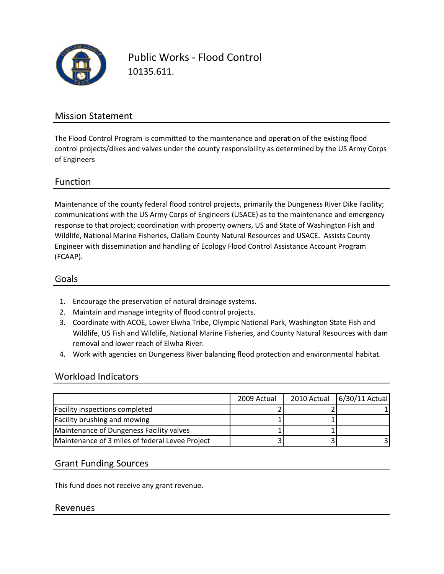

Public Works ‐ Flood Control 10135.611.

## Mission Statement

The Flood Control Program is committed to the maintenance and operation of the existing flood control projects/dikes and valves under the county responsibility as determined by the US Army Corps of Engineers

### Function

Maintenance of the county federal flood control projects, primarily the Dungeness River Dike Facility; communications with the US Army Corps of Engineers (USACE) as to the maintenance and emergency response to that project; coordination with property owners, US and State of Washington Fish and Wildlife, National Marine Fisheries, Clallam County Natural Resources and USACE. Assists County Engineer with dissemination and handling of Ecology Flood Control Assistance Account Program (FCAAP).

#### Goals

- 1. Encourage the preservation of natural drainage systems.
- 2. Maintain and manage integrity of flood control projects.
- 3. Coordinate with ACOE, Lower Elwha Tribe, Olympic National Park, Washington State Fish and Wildlife, US Fish and Wildlife, National Marine Fisheries, and County Natural Resources with dam removal and lower reach of Elwha River.
- 4. Work with agencies on Dungeness River balancing flood protection and environmental habitat.

### Workload Indicators

|                                                 | 2009 Actual | 2010 Actual | 6/30/11 Actual |
|-------------------------------------------------|-------------|-------------|----------------|
| Facility inspections completed                  |             |             |                |
| <b>Facility brushing and mowing</b>             |             |             |                |
| Maintenance of Dungeness Facility valves        |             |             |                |
| Maintenance of 3 miles of federal Levee Project |             |             |                |

### Grant Funding Sources

This fund does not receive any grant revenue.

#### Revenues